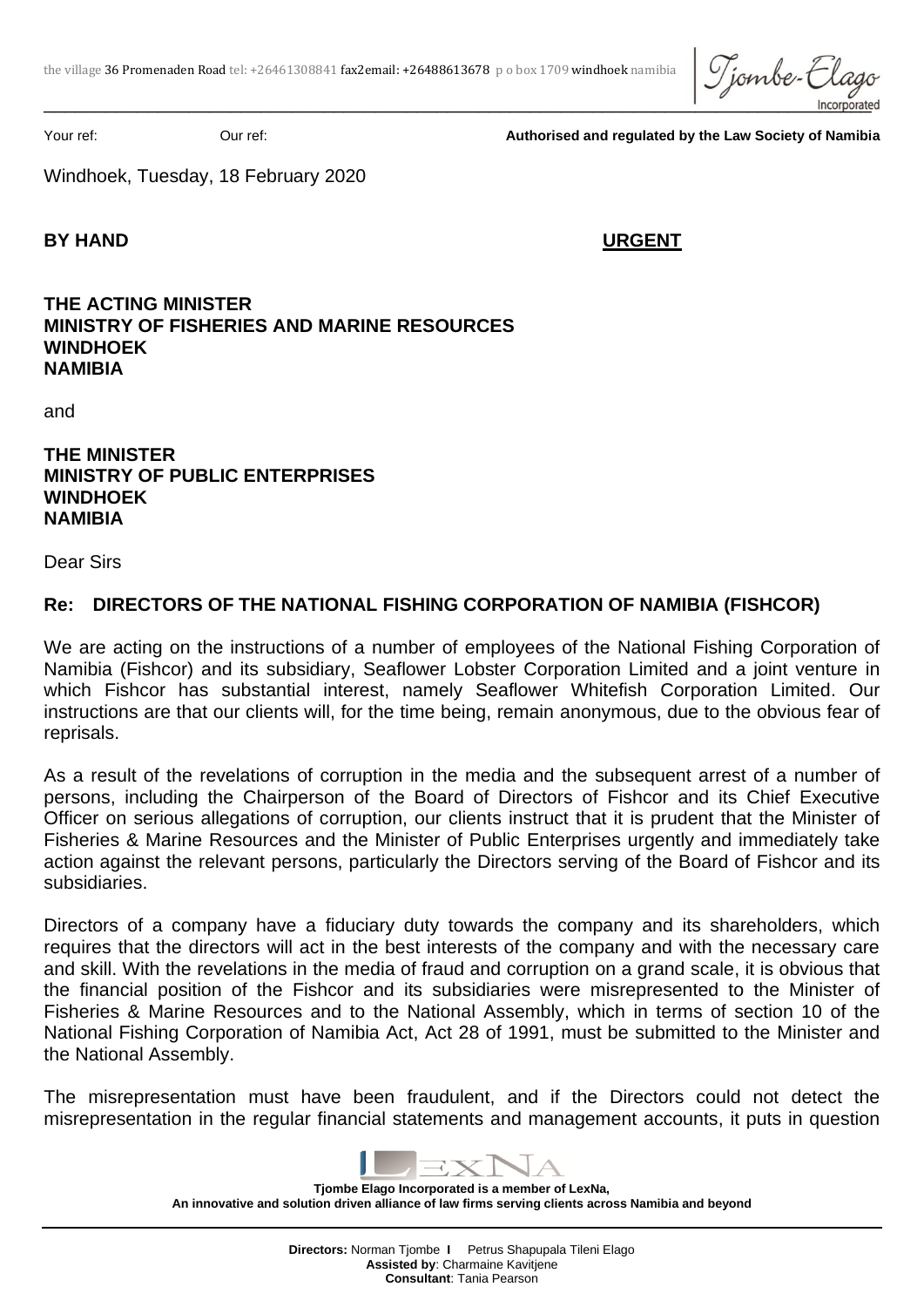Tjombe-E  $\Box$ 

Your ref: Our ref: **Authorised and regulated by the Law Society of Namibia**

Windhoek, Tuesday, 18 February 2020

## **BY HAND URGENT**

## **THE ACTING MINISTER MINISTRY OF FISHERIES AND MARINE RESOURCES WINDHOEK NAMIBIA**

and

**THE MINISTER MINISTRY OF PUBLIC ENTERPRISES WINDHOEK NAMIBIA** 

Dear Sirs

## **Re: DIRECTORS OF THE NATIONAL FISHING CORPORATION OF NAMIBIA (FISHCOR)**

We are acting on the instructions of a number of employees of the National Fishing Corporation of Namibia (Fishcor) and its subsidiary, Seaflower Lobster Corporation Limited and a joint venture in which Fishcor has substantial interest, namely Seaflower Whitefish Corporation Limited. Our instructions are that our clients will, for the time being, remain anonymous, due to the obvious fear of reprisals.

As a result of the revelations of corruption in the media and the subsequent arrest of a number of persons, including the Chairperson of the Board of Directors of Fishcor and its Chief Executive Officer on serious allegations of corruption, our clients instruct that it is prudent that the Minister of Fisheries & Marine Resources and the Minister of Public Enterprises urgently and immediately take action against the relevant persons, particularly the Directors serving of the Board of Fishcor and its subsidiaries.

Directors of a company have a fiduciary duty towards the company and its shareholders, which requires that the directors will act in the best interests of the company and with the necessary care and skill. With the revelations in the media of fraud and corruption on a grand scale, it is obvious that the financial position of the Fishcor and its subsidiaries were misrepresented to the Minister of Fisheries & Marine Resources and to the National Assembly, which in terms of section 10 of the National Fishing Corporation of Namibia Act, Act 28 of 1991, must be submitted to the Minister and the National Assembly.

The misrepresentation must have been fraudulent, and if the Directors could not detect the misrepresentation in the regular financial statements and management accounts, it puts in question

**Tjombe Elago Incorporated is a member of LexNa, An innovative and solution driven alliance of law firms serving clients across Namibia and beyond**